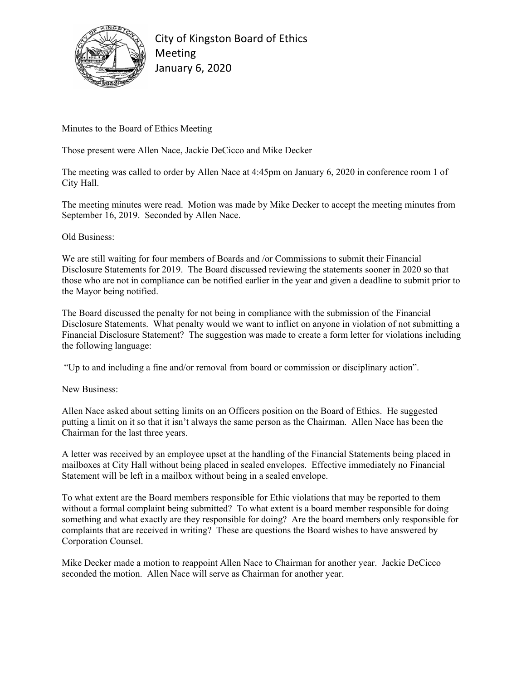

City of Kingston Board of Ethics Meeting January 6, 2020

Minutes to the Board of Ethics Meeting

Those present were Allen Nace, Jackie DeCicco and Mike Decker

The meeting was called to order by Allen Nace at 4:45pm on January 6, 2020 in conference room 1 of City Hall.

The meeting minutes were read. Motion was made by Mike Decker to accept the meeting minutes from September 16, 2019. Seconded by Allen Nace.

## Old Business:

We are still waiting for four members of Boards and /or Commissions to submit their Financial Disclosure Statements for 2019. The Board discussed reviewing the statements sooner in 2020 so that those who are not in compliance can be notified earlier in the year and given a deadline to submit prior to the Mayor being notified.

The Board discussed the penalty for not being in compliance with the submission of the Financial Disclosure Statements. What penalty would we want to inflict on anyone in violation of not submitting a Financial Disclosure Statement? The suggestion was made to create a form letter for violations including the following language:

"Up to and including a fine and/or removal from board or commission or disciplinary action".

New Business:

Allen Nace asked about setting limits on an Officers position on the Board of Ethics. He suggested putting a limit on it so that it isn't always the same person as the Chairman. Allen Nace has been the Chairman for the last three years.

A letter was received by an employee upset at the handling of the Financial Statements being placed in mailboxes at City Hall without being placed in sealed envelopes. Effective immediately no Financial Statement will be left in a mailbox without being in a sealed envelope.

To what extent are the Board members responsible for Ethic violations that may be reported to them without a formal complaint being submitted? To what extent is a board member responsible for doing something and what exactly are they responsible for doing? Are the board members only responsible for complaints that are received in writing? These are questions the Board wishes to have answered by Corporation Counsel.

Mike Decker made a motion to reappoint Allen Nace to Chairman for another year. Jackie DeCicco seconded the motion. Allen Nace will serve as Chairman for another year.